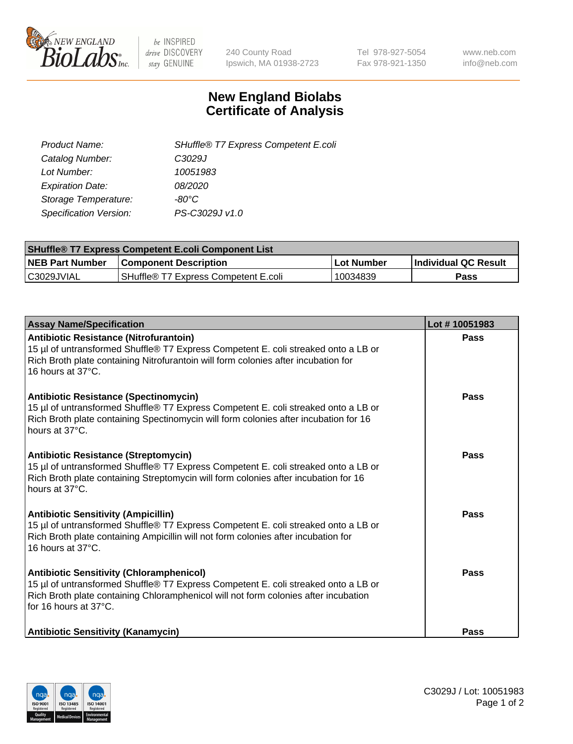

 $be$  INSPIRED drive DISCOVERY stay GENUINE

240 County Road Ipswich, MA 01938-2723 Tel 978-927-5054 Fax 978-921-1350 www.neb.com info@neb.com

## **New England Biolabs Certificate of Analysis**

| Product Name:                 | SHuffle® T7 Express Competent E.coli |
|-------------------------------|--------------------------------------|
| Catalog Number:               | C <sub>3029</sub> J                  |
| Lot Number:                   | 10051983                             |
| <b>Expiration Date:</b>       | 08/2020                              |
| Storage Temperature:          | -80°C                                |
| <b>Specification Version:</b> | PS-C3029J v1.0                       |
|                               |                                      |

| <b>SHuffle<sup>®</sup> T7 Express Competent E.coli Component List</b> |                                         |            |                             |  |
|-----------------------------------------------------------------------|-----------------------------------------|------------|-----------------------------|--|
| <b>NEB Part Number</b>                                                | <b>Component Description</b>            | Lot Number | <b>Individual QC Result</b> |  |
| C3029JVIAL                                                            | l SHuffle® T7 Express Competent E.coli_ | 10034839   | Pass                        |  |

| <b>Assay Name/Specification</b>                                                                                                                                                                                                                       | Lot #10051983 |
|-------------------------------------------------------------------------------------------------------------------------------------------------------------------------------------------------------------------------------------------------------|---------------|
| <b>Antibiotic Resistance (Nitrofurantoin)</b><br>15 µl of untransformed Shuffle® T7 Express Competent E. coli streaked onto a LB or<br>Rich Broth plate containing Nitrofurantoin will form colonies after incubation for<br>16 hours at 37°C.        | Pass          |
| <b>Antibiotic Resistance (Spectinomycin)</b><br>15 µl of untransformed Shuffle® T7 Express Competent E. coli streaked onto a LB or<br>Rich Broth plate containing Spectinomycin will form colonies after incubation for 16<br>hours at 37°C.          | Pass          |
| <b>Antibiotic Resistance (Streptomycin)</b><br>15 µl of untransformed Shuffle® T7 Express Competent E. coli streaked onto a LB or<br>Rich Broth plate containing Streptomycin will form colonies after incubation for 16<br>hours at 37°C.            | Pass          |
| <b>Antibiotic Sensitivity (Ampicillin)</b><br>15 µl of untransformed Shuffle® T7 Express Competent E. coli streaked onto a LB or<br>Rich Broth plate containing Ampicillin will not form colonies after incubation for<br>16 hours at $37^{\circ}$ C. | Pass          |
| <b>Antibiotic Sensitivity (Chloramphenicol)</b><br>15 µl of untransformed Shuffle® T7 Express Competent E. coli streaked onto a LB or<br>Rich Broth plate containing Chloramphenicol will not form colonies after incubation<br>for 16 hours at 37°C. | Pass          |
| <b>Antibiotic Sensitivity (Kanamycin)</b>                                                                                                                                                                                                             | Pass          |